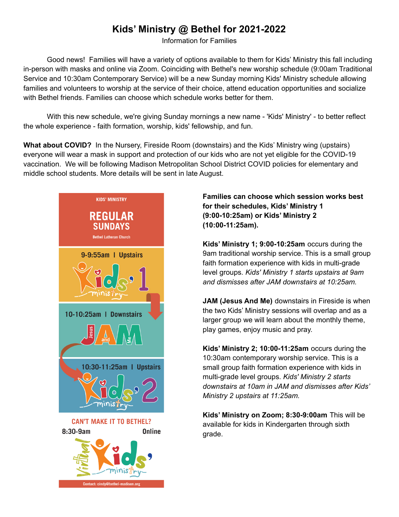# **Kids' Ministry @ Bethel for 2021-2022**

Information for Families

Good news! Families will have a variety of options available to them for Kids' Ministry this fall including in-person with masks and online via Zoom. Coinciding with Bethel's new worship schedule (9:00am Traditional Service and 10:30am Contemporary Service) will be a new Sunday morning Kids' Ministry schedule allowing families and volunteers to worship at the service of their choice, attend education opportunities and socialize with Bethel friends. Families can choose which schedule works better for them.

With this new schedule, we're giving Sunday mornings a new name - 'Kids' Ministry' - to better reflect the whole experience - faith formation, worship, kids' fellowship, and fun.

**What about COVID?** In the Nursery, Fireside Room (downstairs) and the Kids' Ministry wing (upstairs) everyone will wear a mask in support and protection of our kids who are not yet eligible for the COVID-19 vaccination. We will be following Madison Metropolitan School District COVID policies for elementary and middle school students. More details will be sent in late August.



### **Families can choose which session works best for their schedules, Kids' Ministry 1 (9:00-10:25am) or Kids' Ministry 2 (10:00-11:25am).**

**Kids' Ministry 1; 9:00-10:25am** occurs during the 9am traditional worship service. This is a small group faith formation experience with kids in multi-grade level groups. *Kids' Ministry 1 starts upstairs at 9am and dismisses after JAM downstairs at 10:25am.*

**JAM (Jesus And Me)** downstairs in Fireside is when the two Kids' Ministry sessions will overlap and as a larger group we will learn about the monthly theme, play games, enjoy music and pray.

**Kids' Ministry 2; 10:00-11:25am** occurs during the 10:30am contemporary worship service. This is a small group faith formation experience with kids in multi-grade level groups. *Kids' Ministry 2 starts downstairs at 10am in JAM and dismisses after Kids' Ministry 2 upstairs at 11:25am.*

**Kids' Ministry on Zoom; 8:30-9:00am** This will be available for kids in Kindergarten through sixth grade.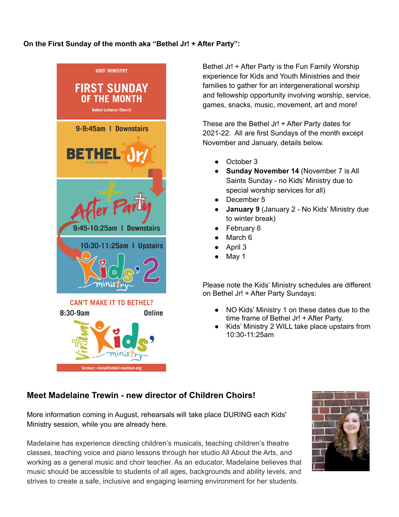#### **On the First Sunday of the month aka "Bethel Jr! + After Party":**



Bethel Jr! + After Party is the Fun Family Worship experience for Kids and Youth Ministries and their families to gather for an intergenerational worship and fellowship opportunity involving worship, service, games, snacks, music, movement, art and more!

These are the Bethel Jr! + After Party dates for 2021-22. All are first Sundays of the month except November and January, details below.

- October 3
- **Sunday November 14** (November 7 is All Saints Sunday - no Kids' Ministry due to special worship services for all)
- December 5
- **January 9** (January 2 No Kids' Ministry due to winter break)
- **February 6**
- March 6
- April 3
- May 1

Please note the Kids' Ministry schedules are different on Bethel Jr! + After Party Sundays:

- NO Kids' Ministry 1 on these dates due to the time frame of Bethel Jr! + After Party.
- Kids' Ministry 2 WILL take place upstairs from 10:30-11:25am

## **Meet Madelaine Trewin - new director of Children Choirs!**

More information coming in August, rehearsals will take place DURING each Kids' Ministry session, while you are already here.

Madelaine has experience directing children's musicals, teaching children's theatre classes, teaching voice and piano lessons through her studio All About the Arts, and working as a general music and choir teacher. As an educator, Madelaine believes that music should be accessible to students of all ages, backgrounds and ability levels, and strives to create a safe, inclusive and engaging learning environment for her students.